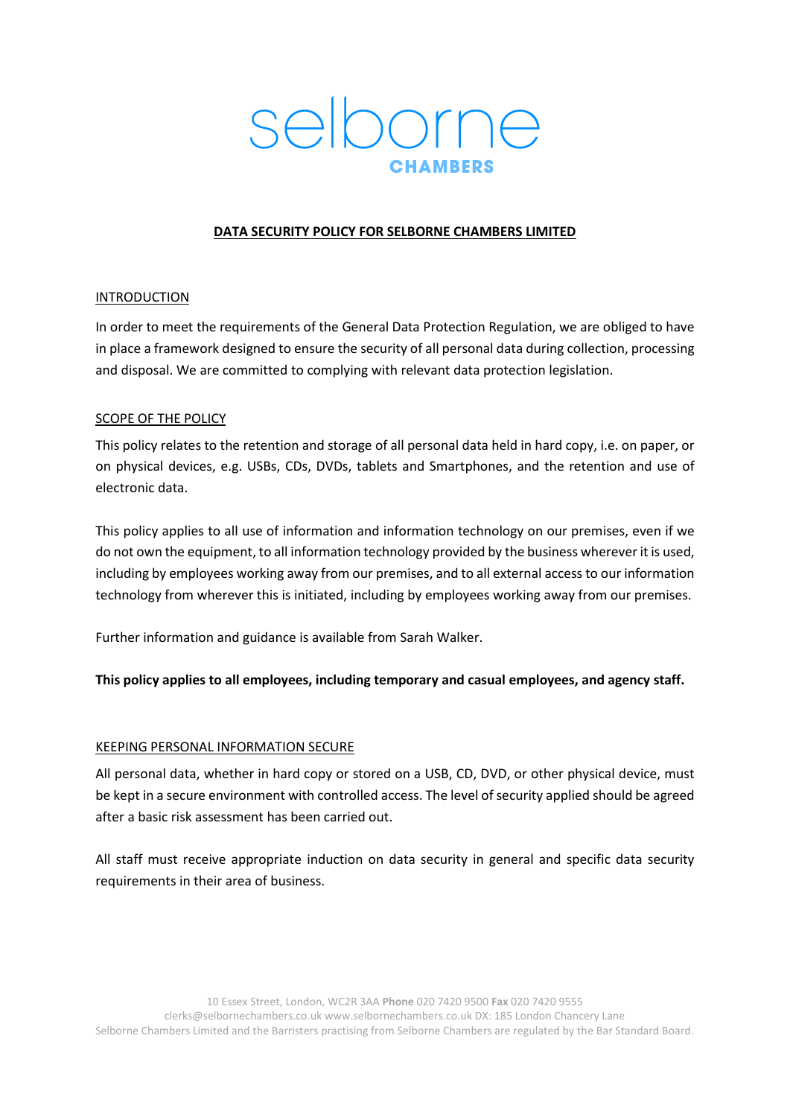# selborne

## **DATA SECURITY POLICY FOR SELBORNE CHAMBERS LIMITED**

## INTRODUCTION

In order to meet the requirements of the General Data Protection Regulation, we are obliged to have in place a framework designed to ensure the security of all personal data during collection, processing and disposal. We are committed to complying with relevant data protection legislation.

## SCOPE OF THE POLICY

This policy relates to the retention and storage of all personal data held in hard copy, i.e. on paper, or on physical devices, e.g. USBs, CDs, DVDs, tablets and Smartphones, and the retention and use of electronic data.

This policy applies to all use of information and information technology on our premises, even if we do not own the equipment, to all information technology provided by the business wherever it is used, including by employees working away from our premises, and to all external access to our information technology from wherever this is initiated, including by employees working away from our premises.

Further information and guidance is available from Sarah Walker.

**This policy applies to all employees, including temporary and casual employees, and agency staff.**

## KEEPING PERSONAL INFORMATION SECURE

All personal data, whether in hard copy or stored on a USB, CD, DVD, or other physical device, must be kept in a secure environment with controlled access. The level of security applied should be agreed after a basic risk assessment has been carried out.

All staff must receive appropriate induction on data security in general and specific data security requirements in their area of business.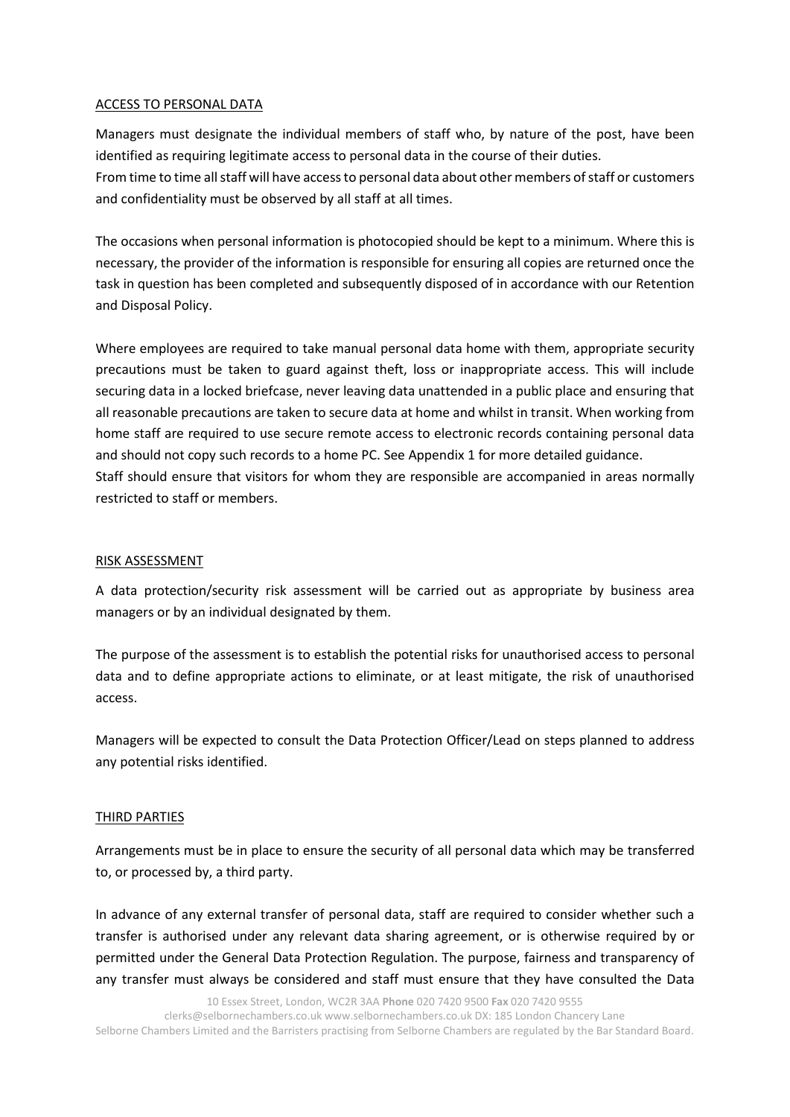## ACCESS TO PERSONAL DATA

Managers must designate the individual members of staff who, by nature of the post, have been identified as requiring legitimate access to personal data in the course of their duties. From time to time all staff will have access to personal data about other members of staff or customers and confidentiality must be observed by all staff at all times.

The occasions when personal information is photocopied should be kept to a minimum. Where this is necessary, the provider of the information is responsible for ensuring all copies are returned once the task in question has been completed and subsequently disposed of in accordance with our Retention and Disposal Policy.

Where employees are required to take manual personal data home with them, appropriate security precautions must be taken to guard against theft, loss or inappropriate access. This will include securing data in a locked briefcase, never leaving data unattended in a public place and ensuring that all reasonable precautions are taken to secure data at home and whilst in transit. When working from home staff are required to use secure remote access to electronic records containing personal data and should not copy such records to a home PC. See Appendix 1 for more detailed guidance. Staff should ensure that visitors for whom they are responsible are accompanied in areas normally restricted to staff or members.

## RISK ASSESSMENT

A data protection/security risk assessment will be carried out as appropriate by business area managers or by an individual designated by them.

The purpose of the assessment is to establish the potential risks for unauthorised access to personal data and to define appropriate actions to eliminate, or at least mitigate, the risk of unauthorised access.

Managers will be expected to consult the Data Protection Officer/Lead on steps planned to address any potential risks identified.

# THIRD PARTIES

Arrangements must be in place to ensure the security of all personal data which may be transferred to, or processed by, a third party.

In advance of any external transfer of personal data, staff are required to consider whether such a transfer is authorised under any relevant data sharing agreement, or is otherwise required by or permitted under the General Data Protection Regulation. The purpose, fairness and transparency of any transfer must always be considered and staff must ensure that they have consulted the Data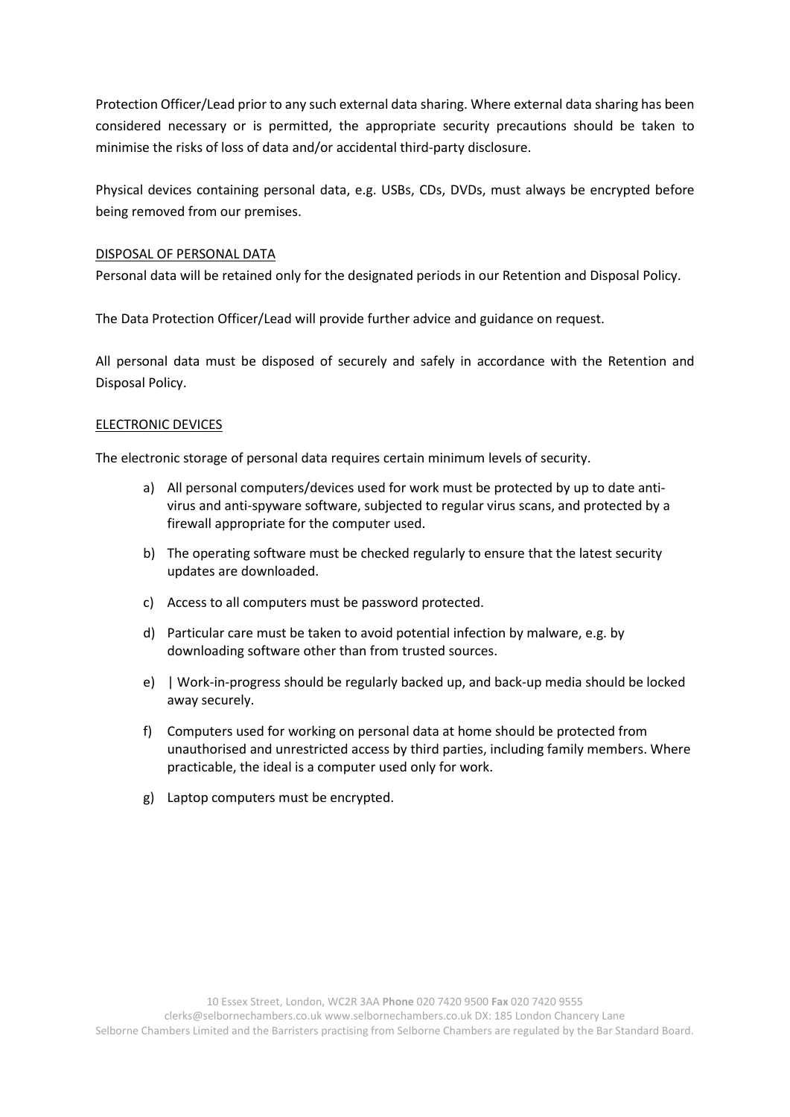Protection Officer/Lead prior to any such external data sharing. Where external data sharing has been considered necessary or is permitted, the appropriate security precautions should be taken to minimise the risks of loss of data and/or accidental third-party disclosure.

Physical devices containing personal data, e.g. USBs, CDs, DVDs, must always be encrypted before being removed from our premises.

## DISPOSAL OF PERSONAL DATA

Personal data will be retained only for the designated periods in our Retention and Disposal Policy.

The Data Protection Officer/Lead will provide further advice and guidance on request.

All personal data must be disposed of securely and safely in accordance with the Retention and Disposal Policy.

## ELECTRONIC DEVICES

The electronic storage of personal data requires certain minimum levels of security.

- a) All personal computers/devices used for work must be protected by up to date antivirus and anti-spyware software, subjected to regular virus scans, and protected by a firewall appropriate for the computer used.
- b) The operating software must be checked regularly to ensure that the latest security updates are downloaded.
- c) Access to all computers must be password protected.
- d) Particular care must be taken to avoid potential infection by malware, e.g. by downloading software other than from trusted sources.
- e) | Work-in-progress should be regularly backed up, and back-up media should be locked away securely.
- f) Computers used for working on personal data at home should be protected from unauthorised and unrestricted access by third parties, including family members. Where practicable, the ideal is a computer used only for work.
- g) Laptop computers must be encrypted.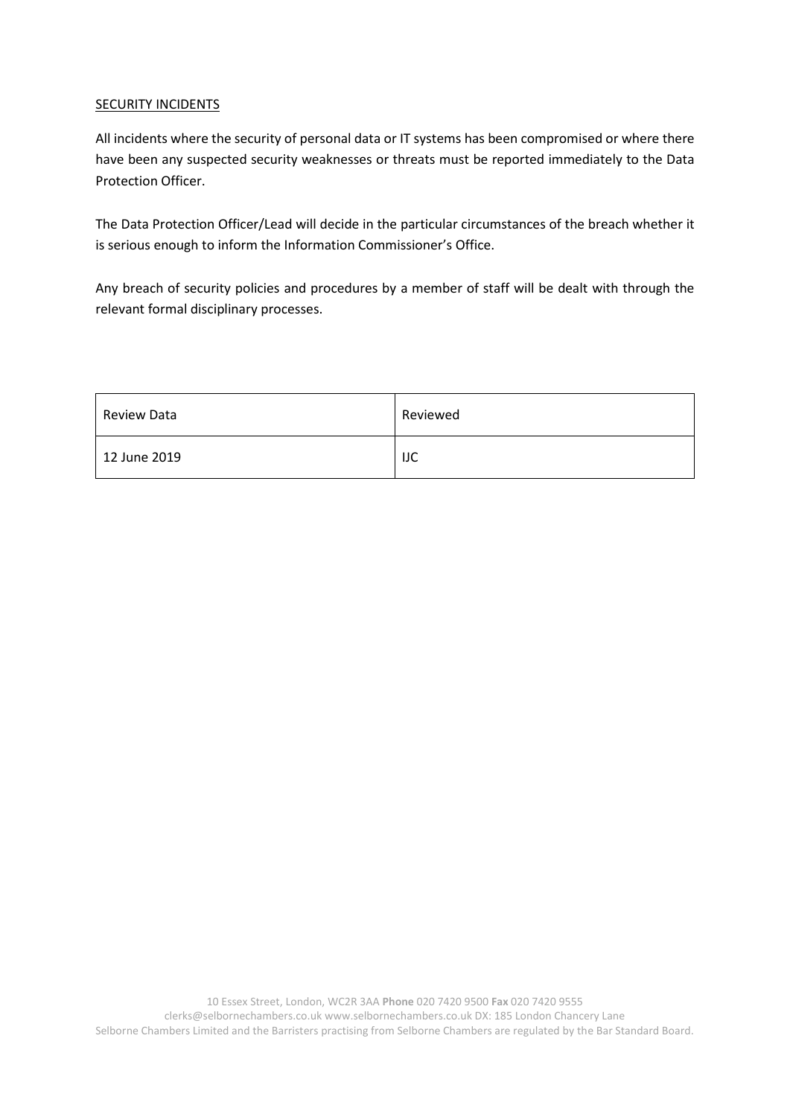## **SECURITY INCIDENTS**

All incidents where the security of personal data or IT systems has been compromised or where there have been any suspected security weaknesses or threats must be reported immediately to the Data Protection Officer.

The Data Protection Officer/Lead will decide in the particular circumstances of the breach whether it is serious enough to inform the Information Commissioner's Office.

Any breach of security policies and procedures by a member of staff will be dealt with through the relevant formal disciplinary processes.

| Review Data  | Reviewed |
|--------------|----------|
| 12 June 2019 | IJC      |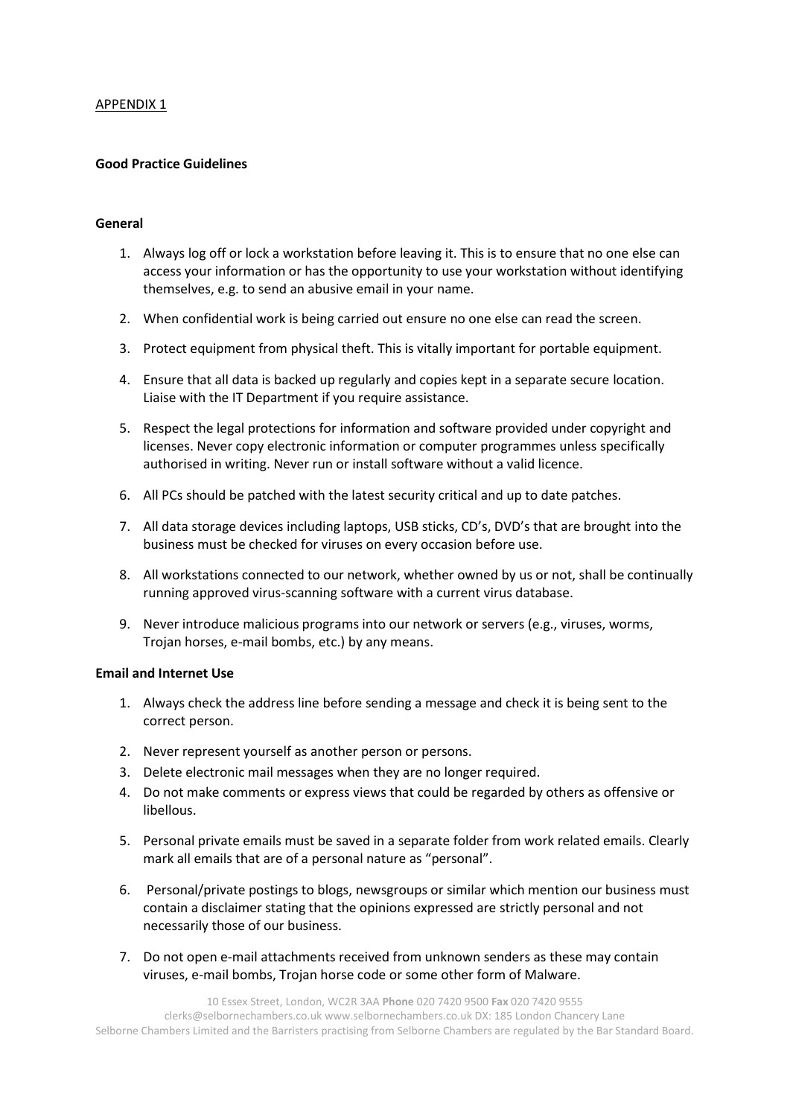#### APPENDIX 1

## **Good Practice Guidelines**

#### **General**

- 1. Always log off or lock a workstation before leaving it. This is to ensure that no one else can access your information or has the opportunity to use your workstation without identifying themselves, e.g. to send an abusive email in your name.
- 2. When confidential work is being carried out ensure no one else can read the screen.
- 3. Protect equipment from physical theft. This is vitally important for portable equipment.
- 4. Ensure that all data is backed up regularly and copies kept in a separate secure location. Liaise with the IT Department if you require assistance.
- 5. Respect the legal protections for information and software provided under copyright and licenses. Never copy electronic information or computer programmes unless specifically authorised in writing. Never run or install software without a valid licence.
- 6. All PCs should be patched with the latest security critical and up to date patches.
- 7. All data storage devices including laptops, USB sticks, CD's, DVD's that are brought into the business must be checked for viruses on every occasion before use.
- 8. All workstations connected to our network, whether owned by us or not, shall be continually running approved virus-scanning software with a current virus database.
- 9. Never introduce malicious programs into our network or servers (e.g., viruses, worms, Trojan horses, e-mail bombs, etc.) by any means.

## **Email and Internet Use**

- 1. Always check the address line before sending a message and check it is being sent to the correct person.
- 2. Never represent yourself as another person or persons.
- 3. Delete electronic mail messages when they are no longer required.
- 4. Do not make comments or express views that could be regarded by others as offensive or libellous.
- 5. Personal private emails must be saved in a separate folder from work related emails. Clearly mark all emails that are of a personal nature as "personal".
- 6. Personal/private postings to blogs, newsgroups or similar which mention our business must contain a disclaimer stating that the opinions expressed are strictly personal and not necessarily those of our business.
- 7. Do not open e-mail attachments received from unknown senders as these may contain viruses, e-mail bombs, Trojan horse code or some other form of Malware.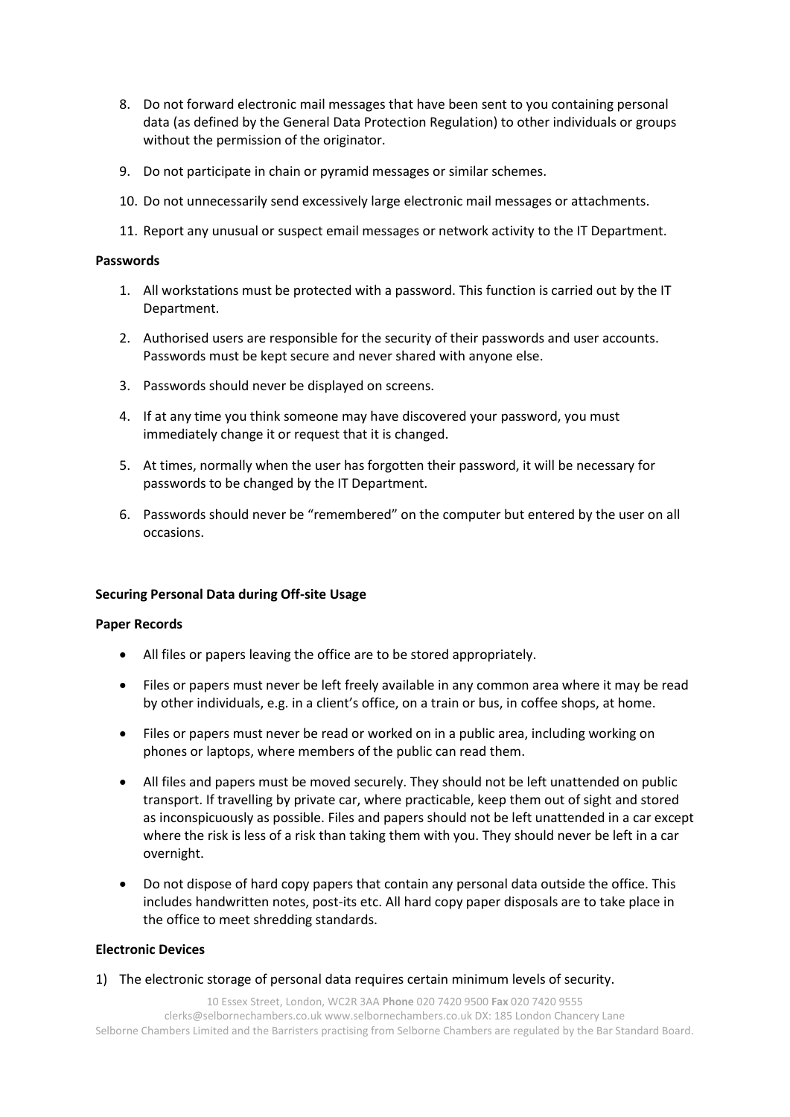- 8. Do not forward electronic mail messages that have been sent to you containing personal data (as defined by the General Data Protection Regulation) to other individuals or groups without the permission of the originator.
- 9. Do not participate in chain or pyramid messages or similar schemes.
- 10. Do not unnecessarily send excessively large electronic mail messages or attachments.
- 11. Report any unusual or suspect email messages or network activity to the IT Department.

#### **Passwords**

- 1. All workstations must be protected with a password. This function is carried out by the IT Department.
- 2. Authorised users are responsible for the security of their passwords and user accounts. Passwords must be kept secure and never shared with anyone else.
- 3. Passwords should never be displayed on screens.
- 4. If at any time you think someone may have discovered your password, you must immediately change it or request that it is changed.
- 5. At times, normally when the user has forgotten their password, it will be necessary for passwords to be changed by the IT Department.
- 6. Passwords should never be "remembered" on the computer but entered by the user on all occasions.

## **Securing Personal Data during Off-site Usage**

## **Paper Records**

- All files or papers leaving the office are to be stored appropriately.
- Files or papers must never be left freely available in any common area where it may be read by other individuals, e.g. in a client's office, on a train or bus, in coffee shops, at home.
- Files or papers must never be read or worked on in a public area, including working on phones or laptops, where members of the public can read them.
- All files and papers must be moved securely. They should not be left unattended on public transport. If travelling by private car, where practicable, keep them out of sight and stored as inconspicuously as possible. Files and papers should not be left unattended in a car except where the risk is less of a risk than taking them with you. They should never be left in a car overnight.
- Do not dispose of hard copy papers that contain any personal data outside the office. This includes handwritten notes, post-its etc. All hard copy paper disposals are to take place in the office to meet shredding standards.

## **Electronic Devices**

1) The electronic storage of personal data requires certain minimum levels of security.

10 Essex Street, London, WC2R 3AA **Phone** 020 7420 9500 **Fax** 020 7420 9555 clerks@selbornechambers.co.uk www.selbornechambers.co.uk DX: 185 London Chancery Lane Selborne Chambers Limited and the Barristers practising from Selborne Chambers are regulated by the Bar Standard Board.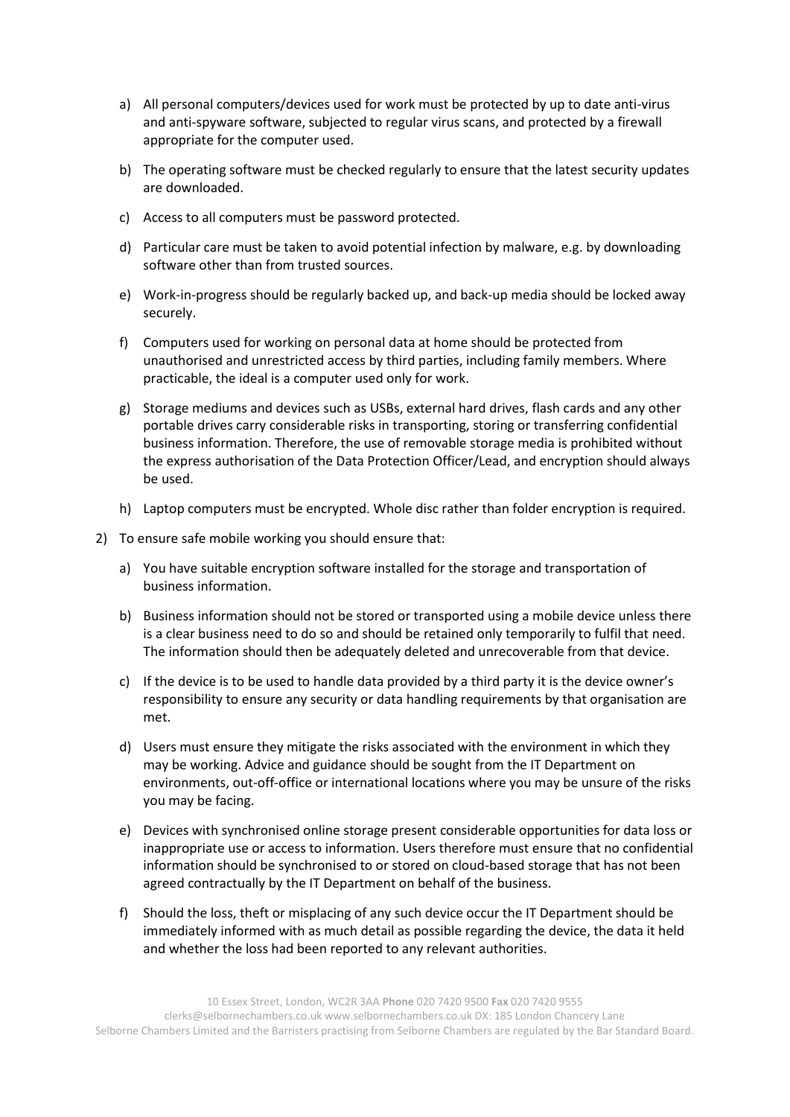- a) All personal computers/devices used for work must be protected by up to date anti-virus and anti-spyware software, subjected to regular virus scans, and protected by a firewall appropriate for the computer used.
- b) The operating software must be checked regularly to ensure that the latest security updates are downloaded.
- c) Access to all computers must be password protected.
- d) Particular care must be taken to avoid potential infection by malware, e.g. by downloading software other than from trusted sources.
- e) Work-in-progress should be regularly backed up, and back-up media should be locked away securely.
- f) Computers used for working on personal data at home should be protected from unauthorised and unrestricted access by third parties, including family members. Where practicable, the ideal is a computer used only for work.
- g) Storage mediums and devices such as USBs, external hard drives, flash cards and any other portable drives carry considerable risks in transporting, storing or transferring confidential business information. Therefore, the use of removable storage media is prohibited without the express authorisation of the Data Protection Officer/Lead, and encryption should always be used.
- h) Laptop computers must be encrypted. Whole disc rather than folder encryption is required.
- 2) To ensure safe mobile working you should ensure that:
	- a) You have suitable encryption software installed for the storage and transportation of business information.
	- b) Business information should not be stored or transported using a mobile device unless there is a clear business need to do so and should be retained only temporarily to fulfil that need. The information should then be adequately deleted and unrecoverable from that device.
	- c) If the device is to be used to handle data provided by a third party it is the device owner's responsibility to ensure any security or data handling requirements by that organisation are met.
	- d) Users must ensure they mitigate the risks associated with the environment in which they may be working. Advice and guidance should be sought from the IT Department on environments, out-off-office or international locations where you may be unsure of the risks you may be facing.
	- e) Devices with synchronised online storage present considerable opportunities for data loss or inappropriate use or access to information. Users therefore must ensure that no confidential information should be synchronised to or stored on cloud-based storage that has not been agreed contractually by the IT Department on behalf of the business.
	- f) Should the loss, theft or misplacing of any such device occur the IT Department should be immediately informed with as much detail as possible regarding the device, the data it held and whether the loss had been reported to any relevant authorities.